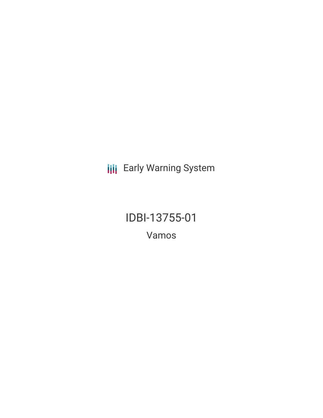**III** Early Warning System

IDBI-13755-01 Vamos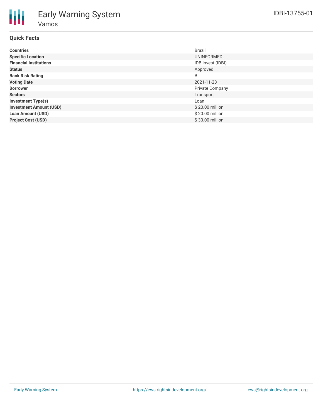# **Quick Facts**

| <b>Countries</b>               | <b>Brazil</b>          |
|--------------------------------|------------------------|
| <b>Specific Location</b>       | UNINFORMED             |
| <b>Financial Institutions</b>  | IDB Invest (IDBI)      |
| <b>Status</b>                  | Approved               |
| <b>Bank Risk Rating</b>        | B                      |
| <b>Voting Date</b>             | 2021-11-23             |
| <b>Borrower</b>                | <b>Private Company</b> |
| <b>Sectors</b>                 | Transport              |
| <b>Investment Type(s)</b>      | Loan                   |
| <b>Investment Amount (USD)</b> | \$20.00 million        |
| <b>Loan Amount (USD)</b>       | \$20.00 million        |
| <b>Project Cost (USD)</b>      | \$30.00 million        |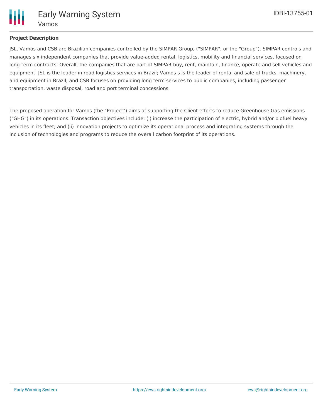

## **Project Description**

JSL, Vamos and CSB are Brazilian companies controlled by the SIMPAR Group, ("SIMPAR", or the "Group"). SIMPAR controls and manages six independent companies that provide value-added rental, logistics, mobility and financial services, focused on long-term contracts. Overall, the companies that are part of SIMPAR buy, rent, maintain, finance, operate and sell vehicles and equipment. JSL is the leader in road logistics services in Brazil; Vamos s is the leader of rental and sale of trucks, machinery, and equipment in Brazil; and CSB focuses on providing long term services to public companies, including passenger transportation, waste disposal, road and port terminal concessions.

The proposed operation for Vamos (the "Project") aims at supporting the Client efforts to reduce Greenhouse Gas emissions ("GHG") in its operations. Transaction objectives include: (i) increase the participation of electric, hybrid and/or biofuel heavy vehicles in its fleet; and (ii) innovation projects to optimize its operational process and integrating systems through the inclusion of technologies and programs to reduce the overall carbon footprint of its operations.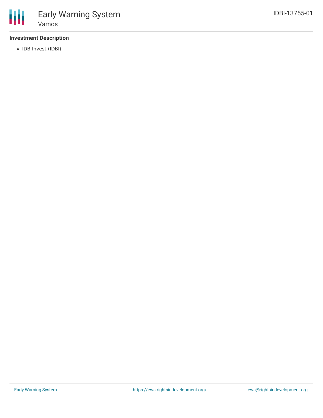## **Investment Description**

• IDB Invest (IDBI)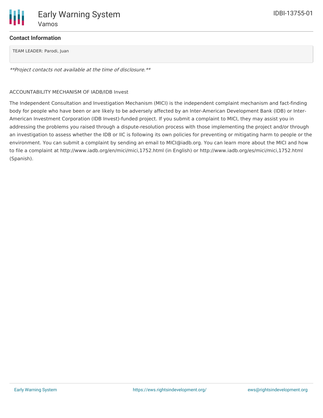

### **Contact Information**

TEAM LEADER: Parodi, Juan

\*\*Project contacts not available at the time of disclosure.\*\*

#### ACCOUNTABILITY MECHANISM OF IADB/IDB Invest

The Independent Consultation and Investigation Mechanism (MICI) is the independent complaint mechanism and fact-finding body for people who have been or are likely to be adversely affected by an Inter-American Development Bank (IDB) or Inter-American Investment Corporation (IDB Invest)-funded project. If you submit a complaint to MICI, they may assist you in addressing the problems you raised through a dispute-resolution process with those implementing the project and/or through an investigation to assess whether the IDB or IIC is following its own policies for preventing or mitigating harm to people or the environment. You can submit a complaint by sending an email to MICI@iadb.org. You can learn more about the MICI and how to file a complaint at http://www.iadb.org/en/mici/mici,1752.html (in English) or http://www.iadb.org/es/mici/mici,1752.html (Spanish).